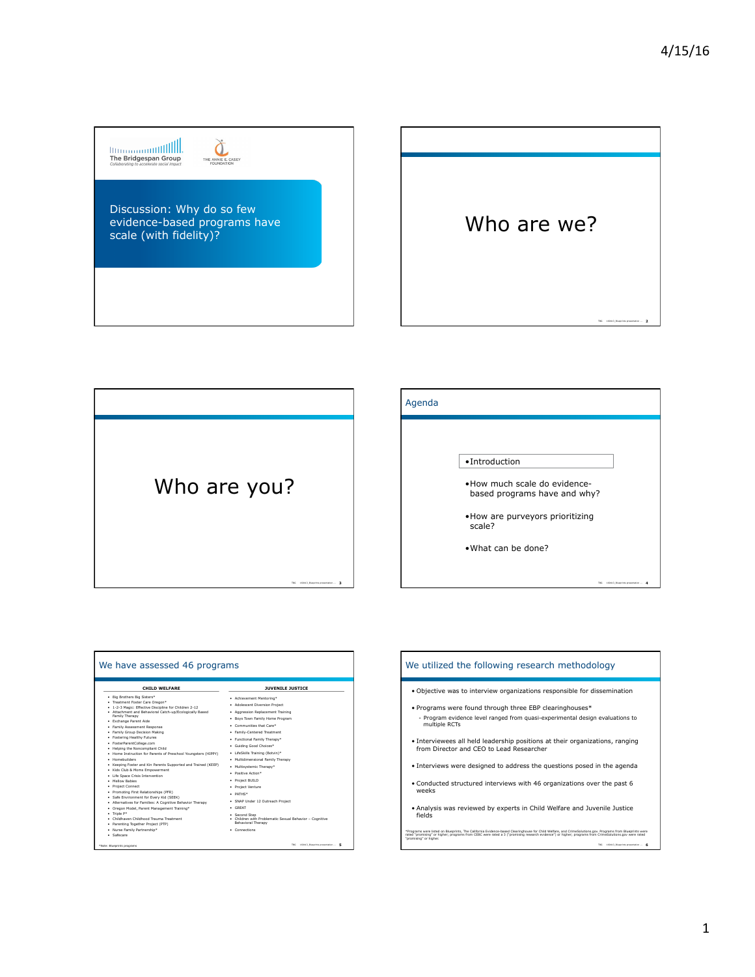|||||||||||||||||||||||||<br>The Bridgespan Group<br>Collaborating to accelerate social impact THE ANNIE E. CASEY Discussion: Why do so few Who are we? evidence-based programs have scale (with fidelity)? TBG 160413\_Blueprints presentation ... **2**



| We have assessed 46 programs                                                                                                                                                                         |                                                                                                |  | We utilized the following research methodology                                                                                                                                                                                                                                                                                               |
|------------------------------------------------------------------------------------------------------------------------------------------------------------------------------------------------------|------------------------------------------------------------------------------------------------|--|----------------------------------------------------------------------------------------------------------------------------------------------------------------------------------------------------------------------------------------------------------------------------------------------------------------------------------------------|
| CHILD WELFARE                                                                                                                                                                                        | <b>JUVENILE JUSTICE</b>                                                                        |  | . Objective was to interview organizations responsible for dissemination                                                                                                                                                                                                                                                                     |
| · Big Brothers Big Sisters*<br>· Treatment Foster Care Oregon*<br>. 1-2-3 Magic: Effective Discipline for Children 2-12<br>. Attachment and Behavioral Catch-up/Ecologically Based<br>Family Therapy | • Achievement Mentoring*                                                                       |  | • Programs were found through three EBP clearinghouses*                                                                                                                                                                                                                                                                                      |
|                                                                                                                                                                                                      | · Adolescent Diversion Project                                                                 |  |                                                                                                                                                                                                                                                                                                                                              |
|                                                                                                                                                                                                      | • Aggression Replacement Training                                                              |  |                                                                                                                                                                                                                                                                                                                                              |
|                                                                                                                                                                                                      | . Boys Town Family Home Program                                                                |  | - Program evidence level ranged from quasi-experimental design evaluations to<br>multiple RCTs                                                                                                                                                                                                                                               |
| · Exchange Parent Aide                                                                                                                                                                               | . Communities that Care*                                                                       |  |                                                                                                                                                                                                                                                                                                                                              |
| · Family Assessment Response<br>· Family Group Decision Making                                                                                                                                       |                                                                                                |  |                                                                                                                                                                                                                                                                                                                                              |
| · Fostering Healthy Futures                                                                                                                                                                          | · Family-Centered Treatment                                                                    |  | • Interviewees all held leadership positions at their organizations, ranging                                                                                                                                                                                                                                                                 |
| · FosterParentCollege.com                                                                                                                                                                            | · Functional Family Therapy*                                                                   |  |                                                                                                                                                                                                                                                                                                                                              |
| . Helping the Noncompliant Child                                                                                                                                                                     | · Guiding Good Choices*                                                                        |  | from Director and CEO to Lead Researcher                                                                                                                                                                                                                                                                                                     |
| . Home Instruction for Parents of Preschool Youngsters (HIPPY)                                                                                                                                       | · LifeSkills Training (Botvin)*                                                                |  |                                                                                                                                                                                                                                                                                                                                              |
| · Homebuilders                                                                                                                                                                                       | . Multidimensional Family Therapy                                                              |  | • Interviews were designed to address the questions posed in the agenda                                                                                                                                                                                                                                                                      |
| • Keeping Foster and Kin Parents Supported and Trained (KEEP)<br>· Kids Club & Moms Empowerment                                                                                                      | · Multisystemic Therapy*                                                                       |  |                                                                                                                                                                                                                                                                                                                                              |
| · Life Space Crisis Intervention                                                                                                                                                                     | · Positive Action*                                                                             |  |                                                                                                                                                                                                                                                                                                                                              |
| . Mellow Babies                                                                                                                                                                                      | · Project BUILD                                                                                |  | • Conducted structured interviews with 46 organizations over the past 6<br>weeks                                                                                                                                                                                                                                                             |
| • Project Connect                                                                                                                                                                                    | · Project Venture                                                                              |  |                                                                                                                                                                                                                                                                                                                                              |
| · Promoting First Relationships (PFR)                                                                                                                                                                | . PATHS*                                                                                       |  |                                                                                                                                                                                                                                                                                                                                              |
| · Safe Environment for Every Kid (SEEK)                                                                                                                                                              | · SNAP Under 12 Outreach Project                                                               |  |                                                                                                                                                                                                                                                                                                                                              |
| · Alternatives for Families: A Cognitive Behavior Therapy                                                                                                                                            | · GREAT                                                                                        |  | • Analysis was reviewed by experts in Child Welfare and Juvenile Justice<br>fields                                                                                                                                                                                                                                                           |
| · Oregon Model, Parent Management Training*<br>$\bullet$ Triple $P^*$                                                                                                                                |                                                                                                |  |                                                                                                                                                                                                                                                                                                                                              |
| · Childbayen Childbood Trauma Treatment<br>· Parenting Together Project (PTP)                                                                                                                        | . Second Step<br>. Children with Problematic Sexual Behavior - Cognitive<br>Behavioral Therapy |  |                                                                                                                                                                                                                                                                                                                                              |
| · Nurse Family Partnership*<br>· Safecare                                                                                                                                                            | · Connections                                                                                  |  | *Programs were listed on Blueprints. The California Evidence-based Clearinghouse for Child Welfare, and CrimeSolutions.gov. Programs from Blueprints were<br>rated "promising" or higher; programs from CEBC were rated a 3 ("promising research evidence") or higher; programs from CrimeSolutions.gov were rated<br>"promising" or higher. |
| *Note: Blueprints programs                                                                                                                                                                           | TBG 160412 Blueprints presentation  5                                                          |  | TBG 160412 Bluegrints presentation                                                                                                                                                                                                                                                                                                           |

| We utilized the following research methodology                                                                                                                                                                                                                                                                                               |  |  |  |  |
|----------------------------------------------------------------------------------------------------------------------------------------------------------------------------------------------------------------------------------------------------------------------------------------------------------------------------------------------|--|--|--|--|
| . Objective was to interview organizations responsible for dissemination                                                                                                                                                                                                                                                                     |  |  |  |  |
| • Programs were found through three EBP clearinghouses*<br>- Program evidence level ranged from quasi-experimental design evaluations to<br>multiple RCTs                                                                                                                                                                                    |  |  |  |  |
| • Interviewees all held leadership positions at their organizations, ranging<br>from Director and CEO to Lead Researcher                                                                                                                                                                                                                     |  |  |  |  |
| . Interviews were designed to address the questions posed in the agenda                                                                                                                                                                                                                                                                      |  |  |  |  |
| . Conducted structured interviews with 46 organizations over the past 6<br>weeks                                                                                                                                                                                                                                                             |  |  |  |  |
| • Analysis was reviewed by experts in Child Welfare and Juvenile Justice<br>fields                                                                                                                                                                                                                                                           |  |  |  |  |
| *Programs were listed on Bluegrints. The California Evidence-based Clearinghouse for Child Welfare, and CrimeSolutions.gov. Programs from Bluegrints were<br>rated "promising" or higher; programs from CEBC were rated a 3 ("promising research evidence") or higher; programs from CrimeSolutions.gov were rated<br>"promising" or higher. |  |  |  |  |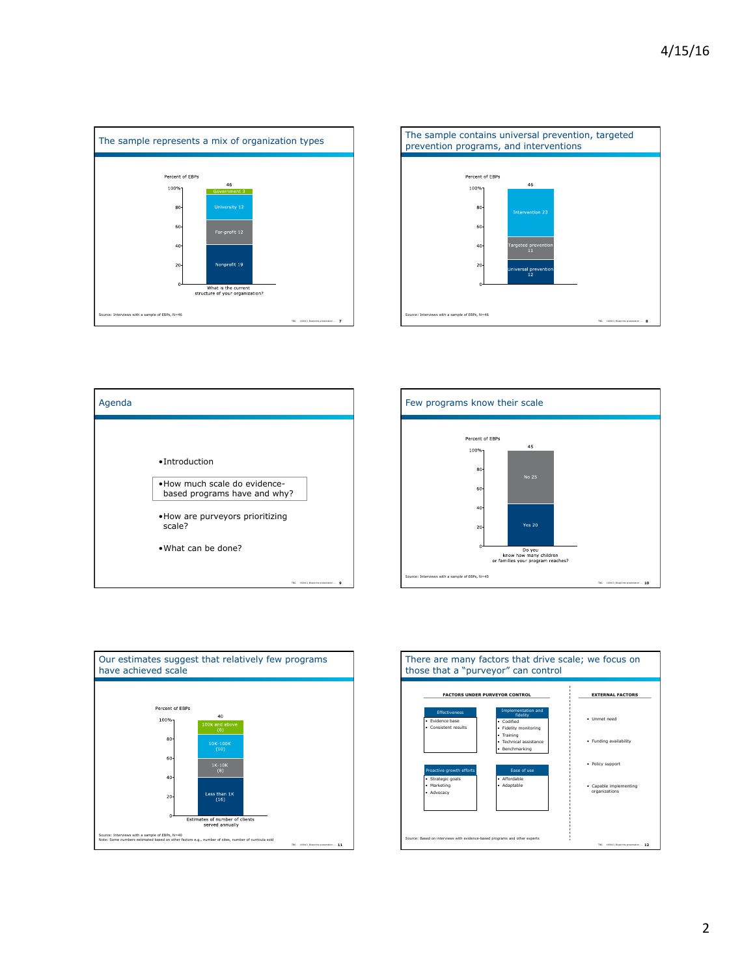







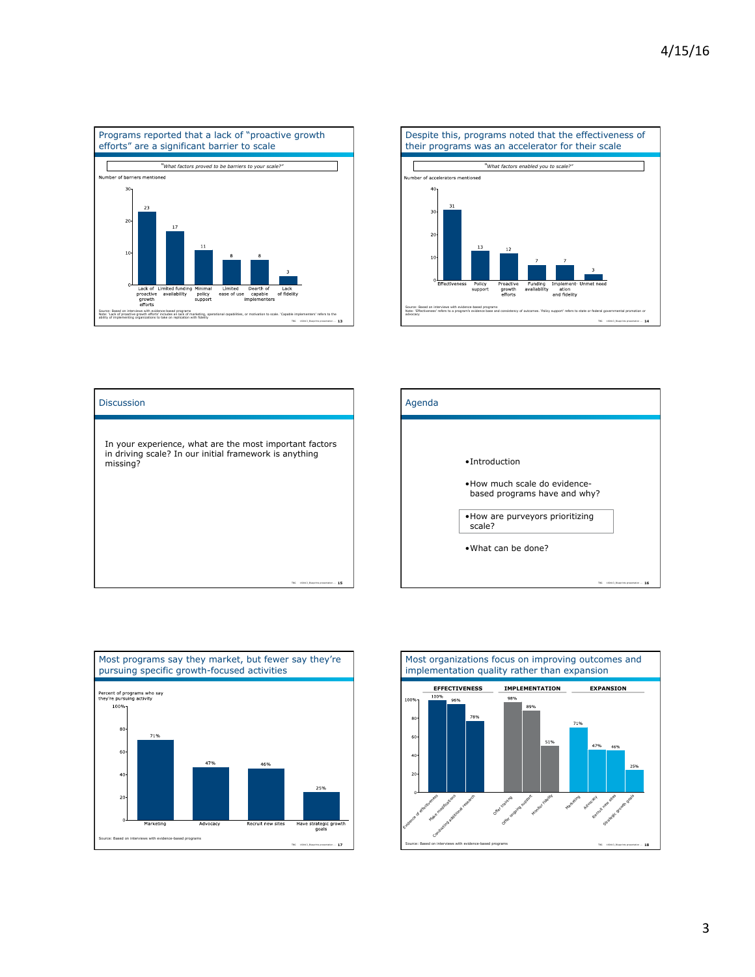